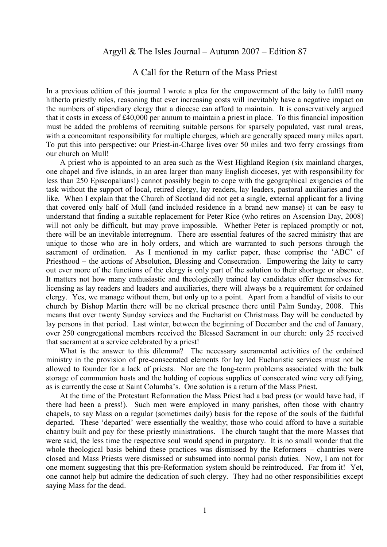## Argyll & The Isles Journal – Autumn 2007 – Edition 87

## A Call for the Return of the Mass Priest

In a previous edition of this journal I wrote a plea for the empowerment of the laity to fulfil many hitherto priestly roles, reasoning that ever increasing costs will inevitably have a negative impact on the numbers of stipendiary clergy that a diocese can afford to maintain. It is conservatively argued that it costs in excess of £40,000 per annum to maintain a priest in place. To this financial imposition must be added the problems of recruiting suitable persons for sparsely populated, vast rural areas, with a concomitant responsibility for multiple charges, which are generally spaced many miles apart. To put this into perspective: our Priest-in-Charge lives over 50 miles and two ferry crossings from our church on Mull!

A priest who is appointed to an area such as the West Highland Region (six mainland charges, one chapel and five islands, in an area larger than many English dioceses, yet with responsibility for less than 250 Episcopalians!) cannot possibly begin to cope with the geographical exigencies of the task without the support of local, retired clergy, lay readers, lay leaders, pastoral auxiliaries and the like. When I explain that the Church of Scotland did not get a single, external applicant for a living that covered only half of Mull (and included residence in a brand new manse) it can be easy to understand that finding a suitable replacement for Peter Rice (who retires on Ascension Day, 2008) will not only be difficult, but may prove impossible. Whether Peter is replaced promptly or not, there will be an inevitable interregnum. There are essential features of the sacred ministry that are unique to those who are in holy orders, and which are warranted to such persons through the sacrament of ordination. As I mentioned in my earlier paper, these comprise the 'ABC' of Priesthood – the actions of Absolution, Blessing and Consecration. Empowering the laity to carry out ever more of the functions of the clergy is only part of the solution to their shortage or absence. It matters not how many enthusiastic and theologically trained lay candidates offer themselves for licensing as lay readers and leaders and auxiliaries, there will always be a requirement for ordained clergy. Yes, we manage without them, but only up to a point. Apart from a handful of visits to our church by Bishop Martin there will be no clerical presence there until Palm Sunday, 2008. This means that over twenty Sunday services and the Eucharist on Christmass Day will be conducted by lay persons in that period. Last winter, between the beginning of December and the end of January, over 250 congregational members received the Blessed Sacrament in our church: only 25 received that sacrament at a service celebrated by a priest!

What is the answer to this dilemma? The necessary sacramental activities of the ordained ministry in the provision of pre-consecrated elements for lay led Eucharistic services must not be allowed to founder for a lack of priests. Nor are the long-term problems associated with the bulk storage of communion hosts and the holding of copious supplies of consecrated wine very edifying, as is currently the case at Saint Columba's. One solution is a return of the Mass Priest.

At the time of the Protestant Reformation the Mass Priest had a bad press (or would have had, if there had been a press!). Such men were employed in many parishes, often those with chantry chapels, to say Mass on a regular (sometimes daily) basis for the repose of the souls of the faithful departed. These 'departed' were essentially the wealthy; those who could afford to have a suitable chantry built and pay for these priestly ministrations. The church taught that the more Masses that were said, the less time the respective soul would spend in purgatory. It is no small wonder that the whole theological basis behind these practices was dismissed by the Reformers – chantries were closed and Mass Priests were dismissed or subsumed into normal parish duties. Now, I am not for one moment suggesting that this pre-Reformation system should be reintroduced. Far from it! Yet, one cannot help but admire the dedication of such clergy. They had no other responsibilities except saying Mass for the dead.